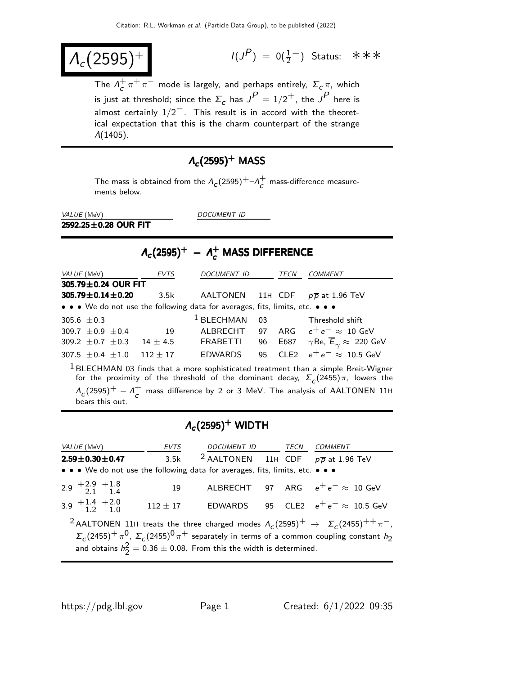$$
\lambda_c(2595)^+\qquad \qquad \blacksquare
$$

 $(P) = 0(\frac{1}{2})$  Status: ∗∗∗

The  $\Lambda_c^+$  $\frac{1}{c} \pi^+ \pi^-$  mode is largely, and perhaps entirely,  $\Sigma_c \pi$ , which is just at threshold; since the  $\Sigma_c$  has  $J^P=1/2^+$ , the  $J^P$  here is almost certainly  $1/2^-$ . This result is in accord with the theoretical expectation that this is the charm counterpart of the strange  $Λ(1405)$ .

### $\Lambda_c(2595)^+$  MASS

The mass is obtained from the  $\Lambda_c(2595)^+$ – $\Lambda_c^+$  $\overline{c}$  mass-difference measurements below.

 $2592.25 \pm 0.28$  OUR FIT

VALUE (MeV) DOCUMENT ID

# $\Lambda_c(2595)^+ - \Lambda_c^+$  MASS DIFFERENCE

| <i>VALUE</i> (MeV)                                                            | EVTS | <b>DOCUMENT ID</b> |    | TECN  | COMMENT                                                                                                                                                                                     |
|-------------------------------------------------------------------------------|------|--------------------|----|-------|---------------------------------------------------------------------------------------------------------------------------------------------------------------------------------------------|
| 305.79±0.24 OUR FIT                                                           |      |                    |    |       |                                                                                                                                                                                             |
| $305.79 \pm 0.14 \pm 0.20$                                                    | 3.5k |                    |    |       | AALTONEN 11H CDF $p\overline{p}$ at 1.96 TeV                                                                                                                                                |
| • • • We do not use the following data for averages, fits, limits, etc. • • • |      |                    |    |       |                                                                                                                                                                                             |
| 305.6 $\pm$ 0.3                                                               |      | $1$ BLECHMAN       | 03 |       | Threshold shift                                                                                                                                                                             |
| $309.7 \pm 0.9 \pm 0.4$ 19                                                    |      | ALBRECHT           |    |       | 97 ARG $e^+e^- \approx 10 \text{ GeV}$                                                                                                                                                      |
| 309.2 $\pm$ 0.7 $\pm$ 0.3 14 $\pm$ 4.5 FRABETTI                               |      |                    | 96 |       | E687 $\quad$ $\gamma$ Be, $\overline{E}_{\gamma} \approx$ 220 GeV                                                                                                                           |
| $307.5 + 0.4 + 1.0$ $112 + 17$ EDWARDS                                        |      |                    | 95 | CI F2 | $e^+e^- \approx 10.5$ GeV                                                                                                                                                                   |
|                                                                               |      |                    |    |       | <sup>1</sup> BLECHMAN 03 finds that a more sophisticated treatment than a simple Breit-Wigner<br>for the proximity of the threshold of the dominant decay, $\Sigma_c(2455)\pi$ , lowers the |
| bears this out.                                                               |      |                    |    |       | $A_c(2595)^+ - A_c^+$ mass difference by 2 or 3 MeV. The analysis of AALTONEN 11H                                                                                                           |

### $\mathcal{M}_{\bm{c}}(2595)^{+}$  WIDTH

| <i>VALUE</i> (MeV)                                                            | EVTS | DOCUMENT ID TECN COMMENT                                  |  |                                                                                                                                                                                                                               |
|-------------------------------------------------------------------------------|------|-----------------------------------------------------------|--|-------------------------------------------------------------------------------------------------------------------------------------------------------------------------------------------------------------------------------|
| $2.59 \pm 0.30 \pm 0.47$                                                      | 3.5k | <sup>2</sup> AALTONEN 11H CDF $p\overline{p}$ at 1.96 TeV |  |                                                                                                                                                                                                                               |
| • • • We do not use the following data for averages, fits, limits, etc. • • • |      |                                                           |  |                                                                                                                                                                                                                               |
| $2.9 + 2.9 + 1.8$<br>-2.1 -1.4                                                | 19   |                                                           |  | ALBRECHT 97 ARG $e^+e^- \approx 10$ GeV                                                                                                                                                                                       |
| $3.9 +1.4 +2.0$<br>$-1.2 -1.0$                                                |      |                                                           |  | 112 $\pm$ 17 EDWARDS 95 CLE2 $e^+e^- \approx 10.5$ GeV                                                                                                                                                                        |
| and obtains $h_2^2 = 0.36 \pm 0.08$ . From this the width is determined.      |      |                                                           |  | <sup>2</sup> AALTONEN 11H treats the three charged modes $\Lambda_c(2595)^+$ $\to$ $\Sigma_c(2455)^{++} \pi^-$ ,<br>$\Sigma_c(2455)^+\pi^0$ , $\Sigma_c(2455)^0\pi^+$ separately in terms of a common coupling constant $h_2$ |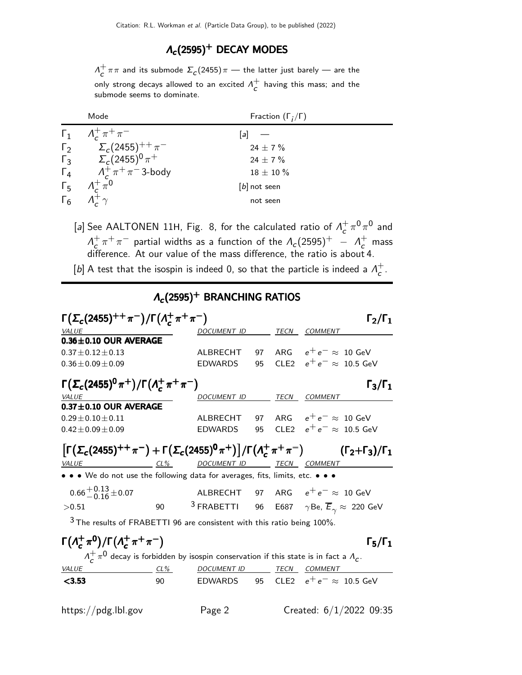### $\Lambda_c$ (2595) $^+$  DECAY MODES

 $\Lambda^+$  $\frac{1}{c} \pi \pi$  and its submode  $\Sigma_c(2455) \pi$  — the latter just barely — are the only strong decays allowed to an excited  $\Lambda_c^+$  $\overline{c}$  having this mass; and the submode seems to dominate.

| Mode                                                                                        | Fraction $(\Gamma_i/\Gamma)$ |
|---------------------------------------------------------------------------------------------|------------------------------|
| $\Gamma_1$ $A_c^+ \pi^+ \pi^-$                                                              | $ a $ —                      |
| $\Gamma_2$ $\Sigma_c (2455)^{++} \pi^-$<br>$\Gamma_3$ $\Sigma_c (2455)^0 \pi^+$             | 24 $\pm$ 7 $\%$              |
|                                                                                             | 24 $\pm$ 7 $\%$              |
| $\Gamma_4$ $\Lambda_c^+\pi^+\pi^-$ 3-body                                                   | $18 \pm 10 \%$               |
| $\begin{matrix} \Gamma_5 & \Lambda_c^+ \pi^0 \\ \Gamma_6 & \Lambda_c^+ \gamma \end{matrix}$ | $[b]$ not seen               |
|                                                                                             | not seen                     |

[a] See AALTONEN 11H, Fig. 8, for the calculated ratio of  $\Lambda_c^+$  $\frac{1}{c} \pi^0 \pi^0$  and  $\Lambda^+$  $\frac{1}{c} \pi^+ \pi^-$  partial widths as a function of the  $\Lambda_c(2595)^+$   $\Lambda_c^+$  mass difference. At our value of the mass difference, the ratio is about 4.

[b] A test that the isospin is indeed 0, so that the particle is indeed a  $\Lambda_c^+$  $\frac{+}{c}$  .

|                                                                                                                                                              |    | $\Lambda_c(2595)^+$ BRANCHING RATIOS                                                                           |  |                     |
|--------------------------------------------------------------------------------------------------------------------------------------------------------------|----|----------------------------------------------------------------------------------------------------------------|--|---------------------|
| $\Gamma(\Sigma_c(2455)^{++}\pi^-)/\Gamma(\Lambda_c^+\pi^+\pi^-)$<br><b>VALUE</b>                                                                             |    |                                                                                                                |  | $\Gamma_2/\Gamma_1$ |
| $0.36 \pm 0.10$ OUR AVERAGE                                                                                                                                  |    | DOCUMENT ID TECN COMMENT                                                                                       |  |                     |
| $0.37 \pm 0.12 \pm 0.13$                                                                                                                                     |    | ALBRECHT 97 ARG $e^+e^- \approx 10 \text{ GeV}$                                                                |  |                     |
| $0.36 \pm 0.09 \pm 0.09$                                                                                                                                     |    | EDWARDS 95 CLE2 $e^+e^- \approx 10.5$ GeV                                                                      |  |                     |
| $\Gamma(\Sigma_c(2455)^0 \pi^+) / \Gamma(\Lambda_c^+ \pi^+ \pi^-)$                                                                                           |    |                                                                                                                |  | $\Gamma_3/\Gamma_1$ |
| <b>VALUE</b><br>$0.37 \pm 0.10$ OUR AVERAGE                                                                                                                  |    | DOCUMENT ID TECN COMMENT                                                                                       |  |                     |
| $0.29 \pm 0.10 \pm 0.11$                                                                                                                                     |    | ALBRECHT 97 ARG $e^+e^-\approx\,10$ GeV                                                                        |  |                     |
| $0.42 \pm 0.09 \pm 0.09$                                                                                                                                     |    | EDWARDS 95 CLE2 $e^+e^- \approx 10.5$ GeV                                                                      |  |                     |
| $\left[\Gamma(\Sigma_c(2455)^{++}\pi^-)+\Gamma(\Sigma_c(2455)^{0}\pi^+)\right]/\Gamma(\Lambda_c^+\pi^+\pi^-)$ $(\Gamma_2+\Gamma_3)/\Gamma_1$<br><b>VALUE</b> |    | <u>CL% DOCUMENT ID TECN COMMENT</u>                                                                            |  |                     |
| • • • We do not use the following data for averages, fits, limits, etc. • • •                                                                                |    |                                                                                                                |  |                     |
| $0.66 + 0.13 + 0.07$                                                                                                                                         |    | ALBRECHT 97 ARG $e^+e^- \approx 10$ GeV                                                                        |  |                     |
| >0.51                                                                                                                                                        |    | 90 <sup>3</sup> FRABETTI 96 E687 $\gamma$ Be, $\overline{E}_{\gamma} \approx 220$ GeV                          |  |                     |
| $3$ The results of FRABETTI 96 are consistent with this ratio being 100%.                                                                                    |    |                                                                                                                |  |                     |
| $\Gamma(\Lambda_c^+\pi^0)/\Gamma(\Lambda_c^+\pi^+\pi^-)$                                                                                                     |    | $\Lambda^+_\text{c} \pi^0$ decay is forbidden by isospin conservation if this state is in fact a $\Lambda_c$ . |  | $\Gamma_5/\Gamma_1$ |
| <i>VALUE</i>                                                                                                                                                 |    | <u>CL% DOCUMENT ID TECN COMMENT</u>                                                                            |  |                     |
| $<$ 3.53                                                                                                                                                     | 90 | EDWARDS 95 CLE2 $e^+e^- \approx 10.5$ GeV                                                                      |  |                     |
|                                                                                                                                                              |    |                                                                                                                |  |                     |